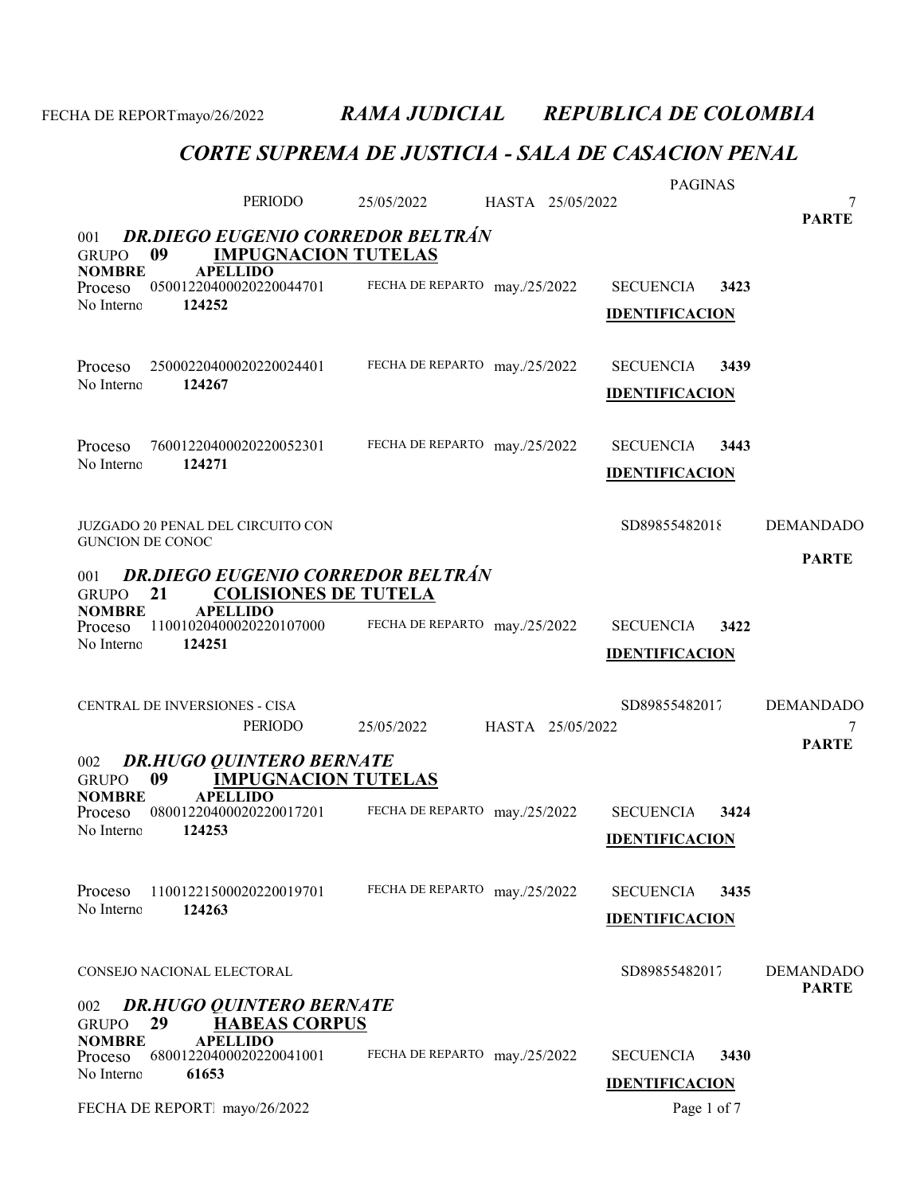# CORTE SUPREMA DE JUSTICIA - SALA DE CASACION PENAL

|                                                              |                                                                         |                               |                  | <b>PAGINAS</b>        |      |                   |
|--------------------------------------------------------------|-------------------------------------------------------------------------|-------------------------------|------------------|-----------------------|------|-------------------|
|                                                              | PERIODO                                                                 | 25/05/2022                    | HASTA 25/05/2022 |                       |      | 7<br><b>PARTE</b> |
| 001                                                          | <b>DR.DIEGO EUGENIO CORREDOR BELTRÁN</b>                                |                               |                  |                       |      |                   |
| 09<br><b>GRUPO</b>                                           | <b>IMPUGNACION TUTELAS</b>                                              |                               |                  |                       |      |                   |
| <b>NOMBRE</b><br>Proceso                                     | <b>APELLIDO</b><br>05001220400020220044701                              | FECHA DE REPARTO may./25/2022 |                  | <b>SECUENCIA</b>      | 3423 |                   |
| No Interno<br>124252                                         |                                                                         |                               |                  | <b>IDENTIFICACION</b> |      |                   |
|                                                              |                                                                         |                               |                  |                       |      |                   |
| Proceso                                                      | 25000220400020220024401                                                 | FECHA DE REPARTO may./25/2022 |                  | <b>SECUENCIA</b>      | 3439 |                   |
| No Interno<br>124267                                         |                                                                         |                               |                  |                       |      |                   |
|                                                              |                                                                         |                               |                  | <b>IDENTIFICACION</b> |      |                   |
|                                                              |                                                                         |                               |                  |                       |      |                   |
| Proceso<br>No Interno<br>124271                              | 76001220400020220052301                                                 | FECHA DE REPARTO may./25/2022 |                  | <b>SECUENCIA</b>      | 3443 |                   |
|                                                              |                                                                         |                               |                  | <b>IDENTIFICACION</b> |      |                   |
|                                                              |                                                                         |                               |                  |                       |      |                   |
| JUZGADO 20 PENAL DEL CIRCUITO CON<br><b>GUNCION DE CONOC</b> |                                                                         |                               |                  | SD89855482018         |      | <b>DEMANDADO</b>  |
|                                                              |                                                                         |                               |                  |                       |      | <b>PARTE</b>      |
| 001<br>21<br><b>GRUPO</b>                                    | <b>DR.DIEGO EUGENIO CORREDOR BELTRÁN</b><br><b>COLISIONES DE TUTELA</b> |                               |                  |                       |      |                   |
| <b>NOMBRE</b>                                                | <b>APELLIDO</b>                                                         |                               |                  |                       |      |                   |
| Proceso<br>No Interno<br>124251                              | 11001020400020220107000                                                 | FECHA DE REPARTO may./25/2022 |                  | <b>SECUENCIA</b>      | 3422 |                   |
|                                                              |                                                                         |                               |                  | <b>IDENTIFICACION</b> |      |                   |
|                                                              |                                                                         |                               |                  |                       |      |                   |
| <b>CENTRAL DE INVERSIONES - CISA</b>                         |                                                                         |                               |                  | SD89855482017         |      | <b>DEMANDADO</b>  |
|                                                              | PERIODO                                                                 | 25/05/2022                    | HASTA 25/05/2022 |                       |      | <b>PARTE</b>      |
| 002                                                          | <b>DR.HUGO QUINTERO BERNATE</b>                                         |                               |                  |                       |      |                   |
| 09<br><b>GRUPO</b><br><b>NOMBRE</b>                          | <b>IMPUGNACION TUTELAS</b><br><b>APELLIDO</b>                           |                               |                  |                       |      |                   |
| Proceso                                                      | 08001220400020220017201                                                 | FECHA DE REPARTO may./25/2022 |                  | <b>SECUENCIA</b>      | 3424 |                   |
| No Interno<br>124253                                         |                                                                         |                               |                  | <b>IDENTIFICACION</b> |      |                   |
|                                                              |                                                                         |                               |                  |                       |      |                   |
| Proceso                                                      | 11001221500020220019701                                                 | FECHA DE REPARTO              | may./25/2022     | <b>SECUENCIA</b>      | 3435 |                   |
| No Interno<br>124263                                         |                                                                         |                               |                  | <b>IDENTIFICACION</b> |      |                   |
|                                                              |                                                                         |                               |                  |                       |      |                   |
| CONSEJO NACIONAL ELECTORAL                                   |                                                                         |                               |                  |                       |      | <b>DEMANDADO</b>  |
|                                                              |                                                                         |                               |                  |                       |      |                   |
|                                                              |                                                                         |                               |                  | SD89855482017         |      | <b>PARTE</b>      |
| 002                                                          | <b>DR.HUGO QUINTERO BERNATE</b>                                         |                               |                  |                       |      |                   |
| 29<br><b>GRUPO</b><br><b>NOMBRE</b>                          | <b>HABEAS CORPUS</b><br><b>APELLIDO</b>                                 |                               |                  |                       |      |                   |
| Proceso                                                      | 68001220400020220041001                                                 | FECHA DE REPARTO may./25/2022 |                  | <b>SECUENCIA</b>      | 3430 |                   |
| No Interno<br>61653                                          |                                                                         |                               |                  | <b>IDENTIFICACION</b> |      |                   |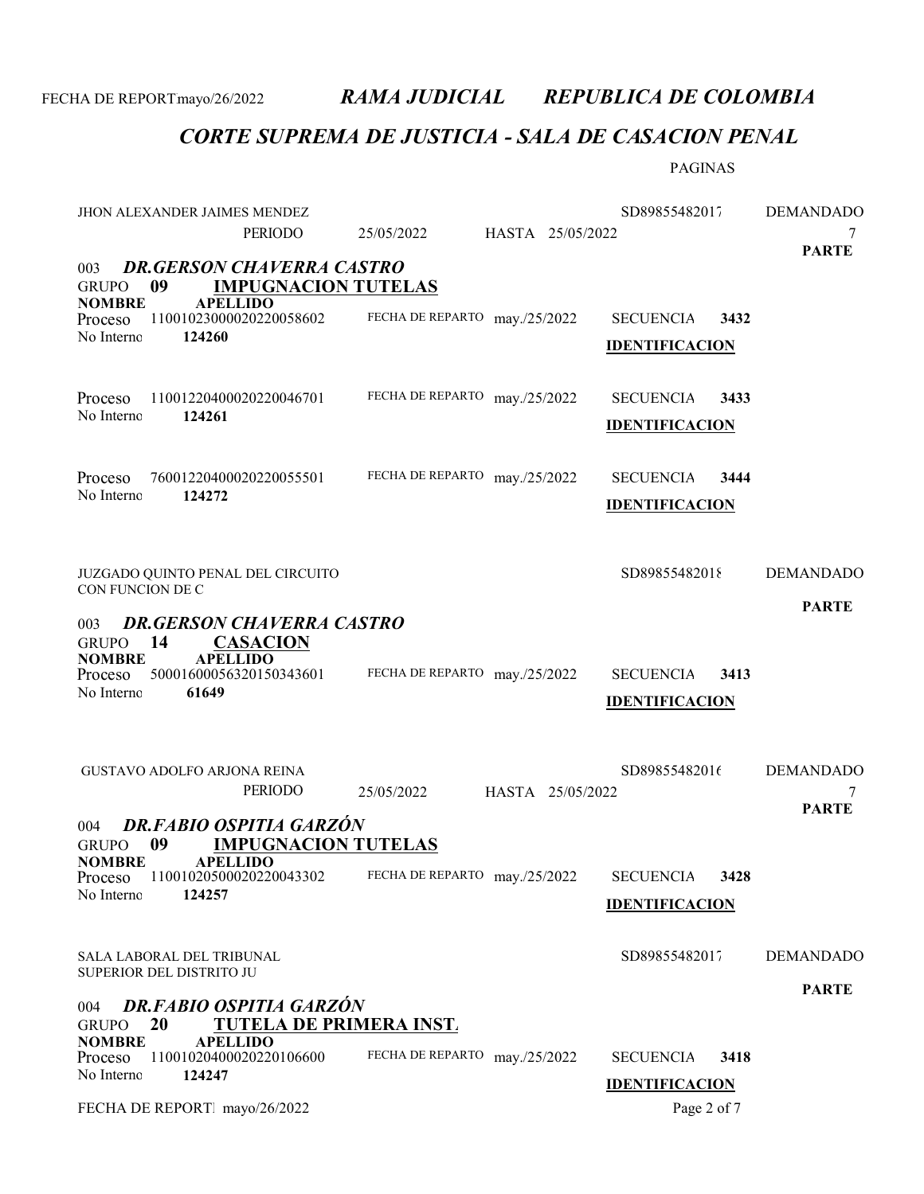### CORTE SUPREMA DE JUSTICIA - SALA DE CASACION PENAL

PAGINAS

| JHON ALEXANDER JAIMES MENDEZ                                                      |                                               |                               |                  |                  | SD89855482017         |      | <b>DEMANDADO</b>  |
|-----------------------------------------------------------------------------------|-----------------------------------------------|-------------------------------|------------------|------------------|-----------------------|------|-------------------|
|                                                                                   | PERIODO                                       | 25/05/2022                    |                  | HASTA 25/05/2022 |                       |      | 7<br><b>PARTE</b> |
| 003                                                                               | <b>DR.GERSON CHAVERRA CASTRO</b>              |                               |                  |                  |                       |      |                   |
| 09<br><b>GRUPO</b><br><b>NOMBRE</b>                                               | <b>IMPUGNACION TUTELAS</b><br><b>APELLIDO</b> |                               |                  |                  |                       |      |                   |
| Proceso<br>No Interno<br>124260                                                   | 11001023000020220058602                       | FECHA DE REPARTO may./25/2022 |                  |                  | <b>SECUENCIA</b>      | 3432 |                   |
|                                                                                   |                                               |                               |                  |                  | <b>IDENTIFICACION</b> |      |                   |
| Proceso                                                                           | 11001220400020220046701                       | FECHA DE REPARTO may./25/2022 |                  |                  | <b>SECUENCIA</b>      | 3433 |                   |
| No Interno<br>124261                                                              |                                               |                               |                  |                  | <b>IDENTIFICACION</b> |      |                   |
|                                                                                   |                                               |                               |                  |                  |                       |      |                   |
| Proceso                                                                           | 76001220400020220055501                       | FECHA DE REPARTO may./25/2022 |                  |                  | <b>SECUENCIA</b>      | 3444 |                   |
| No Interno<br>124272                                                              |                                               |                               |                  |                  | <b>IDENTIFICACION</b> |      |                   |
|                                                                                   |                                               |                               |                  |                  |                       |      |                   |
| JUZGADO QUINTO PENAL DEL CIRCUITO                                                 |                                               |                               |                  |                  | SD89855482018         |      | <b>DEMANDADO</b>  |
| CON FUNCION DE C                                                                  |                                               |                               |                  |                  |                       |      | <b>PARTE</b>      |
| 003                                                                               | <b>DR.GERSON CHAVERRA CASTRO</b>              |                               |                  |                  |                       |      |                   |
| GRUPO 14<br><b>NOMBRE</b>                                                         | <b>CASACION</b><br><b>APELLIDO</b>            |                               |                  |                  |                       |      |                   |
| Proceso<br>No Interno<br>61649                                                    | 50001600056320150343601                       | FECHA DE REPARTO may./25/2022 |                  |                  | <b>SECUENCIA</b>      | 3413 |                   |
|                                                                                   |                                               |                               |                  |                  | <b>IDENTIFICACION</b> |      |                   |
|                                                                                   |                                               |                               |                  |                  |                       |      |                   |
| GUSTAVO ADOLFO ARJONA REINA                                                       |                                               |                               |                  |                  | SD89855482016         |      | <b>DEMANDADO</b>  |
|                                                                                   | PERIODO                                       | 25/05/2022                    | HASTA 25/05/2022 |                  |                       |      | 7<br><b>PARTE</b> |
| 004                                                                               | DR.FABIO OSPITIA GARZÓN                       |                               |                  |                  |                       |      |                   |
| 09<br><b>GRUPO</b><br><b>NOMBRE</b>                                               | <b>IMPUGNACION TUTELAS</b><br><b>APELLIDO</b> |                               |                  |                  |                       |      |                   |
| Proceso 11001020500020220043302 FECHA DE REPARTO may./25/2022 SECUENCIA<br>124257 |                                               |                               |                  |                  |                       | 3428 |                   |
| No Interno                                                                        |                                               |                               |                  |                  | <b>IDENTIFICACION</b> |      |                   |
|                                                                                   |                                               |                               |                  |                  |                       |      |                   |
| SALA LABORAL DEL TRIBUNAL<br>SUPERIOR DEL DISTRITO JU                             |                                               |                               |                  |                  | SD89855482017         |      | <b>DEMANDADO</b>  |
| 004                                                                               | DR.FABIO OSPITIA GARZÓN                       |                               |                  |                  |                       |      | <b>PARTE</b>      |
| 20<br><b>GRUPO</b>                                                                | <b>TUTELA DE PRIMERA INST.</b>                |                               |                  |                  |                       |      |                   |
| <b>NOMBRE</b><br>Proceso                                                          | <b>APELLIDO</b><br>11001020400020220106600    | FECHA DE REPARTO may./25/2022 |                  |                  | <b>SECUENCIA</b>      | 3418 |                   |
| No Interno<br>124247                                                              |                                               |                               |                  |                  | <b>IDENTIFICACION</b> |      |                   |
| FECHA DE REPORT mayo/26/2022                                                      |                                               |                               |                  |                  | Page 2 of 7           |      |                   |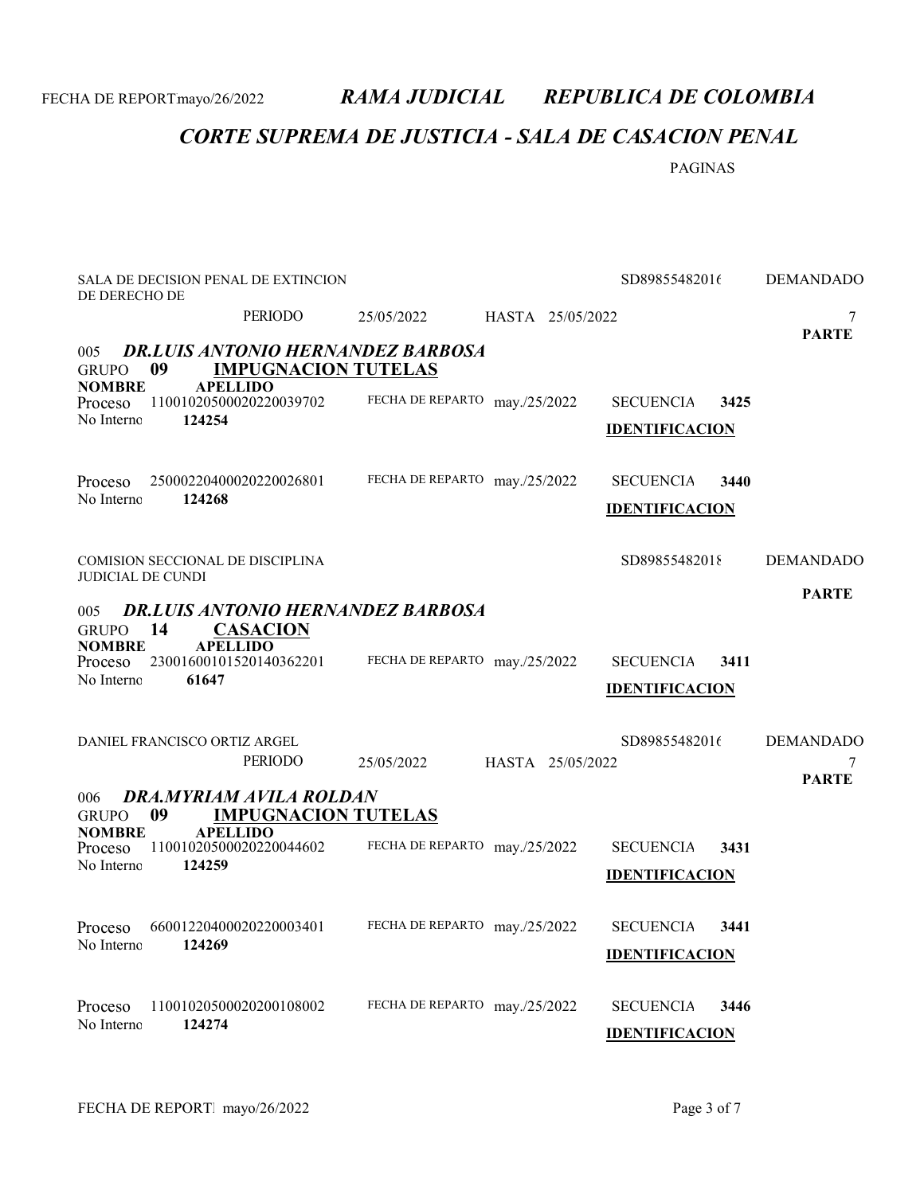### CORTE SUPREMA DE JUSTICIA - SALA DE CASACION PENAL

PAGINAS

| DE DERECHO DE                              | SALA DE DECISION PENAL DE EXTINCION                                                       |                               |                  | SD89855482016         |      | <b>DEMANDADO</b>  |
|--------------------------------------------|-------------------------------------------------------------------------------------------|-------------------------------|------------------|-----------------------|------|-------------------|
|                                            | PERIODO                                                                                   | 25/05/2022                    | HASTA 25/05/2022 |                       |      | 7<br><b>PARTE</b> |
| 005<br>09<br><b>GRUPO</b>                  | <b>DR.LUIS ANTONIO HERNANDEZ BARBOSA</b><br><b>IMPUGNACION TUTELAS</b><br><b>APELLIDO</b> |                               |                  |                       |      |                   |
| <b>NOMBRE</b><br>Proceso<br>No Interno     | 11001020500020220039702<br>124254                                                         | FECHA DE REPARTO may./25/2022 |                  | <b>SECUENCIA</b>      | 3425 |                   |
|                                            |                                                                                           |                               |                  | <b>IDENTIFICACION</b> |      |                   |
| Proceso<br>No Interno                      | 25000220400020220026801<br>124268                                                         | FECHA DE REPARTO may./25/2022 |                  | <b>SECUENCIA</b>      | 3440 |                   |
|                                            |                                                                                           |                               |                  | <b>IDENTIFICACION</b> |      |                   |
| <b>JUDICIAL DE CUNDI</b>                   | COMISION SECCIONAL DE DISCIPLINA                                                          |                               |                  | SD89855482018         |      | <b>DEMANDADO</b>  |
| 005                                        | <b>DR.LUIS ANTONIO HERNANDEZ BARBOSA</b>                                                  |                               |                  |                       |      | <b>PARTE</b>      |
| 14<br><b>GRUPO</b><br><b>NOMBRE</b>        | <b>CASACION</b><br><b>APELLIDO</b>                                                        |                               |                  |                       |      |                   |
| Proceso<br>No Interno                      | 23001600101520140362201<br>61647                                                          | FECHA DE REPARTO may./25/2022 |                  | <b>SECUENCIA</b>      | 3411 |                   |
|                                            |                                                                                           |                               |                  | <b>IDENTIFICACION</b> |      |                   |
| DANIEL FRANCISCO ORTIZ ARGEL               |                                                                                           |                               |                  | SD89855482016         |      | <b>DEMANDADO</b>  |
|                                            | <b>PERIODO</b><br><b>DRA.MYRIAM AVILA ROLDAN</b>                                          | 25/05/2022                    | HASTA 25/05/2022 |                       |      | 7<br><b>PARTE</b> |
| 006<br>09<br><b>GRUPO</b><br><b>NOMBRE</b> | <b>IMPUGNACION TUTELAS</b><br><b>APELLIDO</b>                                             |                               |                  |                       |      |                   |
| Proceso<br>No Interno                      | 11001020500020220044602<br>124259                                                         | FECHA DE REPARTO may./25/2022 |                  | <b>SECUENCIA</b>      | 3431 |                   |
|                                            |                                                                                           |                               |                  | <b>IDENTIFICACION</b> |      |                   |
| Proceso                                    | 66001220400020220003401                                                                   | FECHA DE REPARTO may./25/2022 |                  | <b>SECUENCIA</b>      | 3441 |                   |
| No Interno                                 | 124269                                                                                    |                               |                  | <b>IDENTIFICACION</b> |      |                   |
| Proceso                                    | 11001020500020200108002                                                                   | FECHA DE REPARTO may./25/2022 |                  | <b>SECUENCIA</b>      | 3446 |                   |
| No Interno                                 | 124274                                                                                    |                               |                  | <b>IDENTIFICACION</b> |      |                   |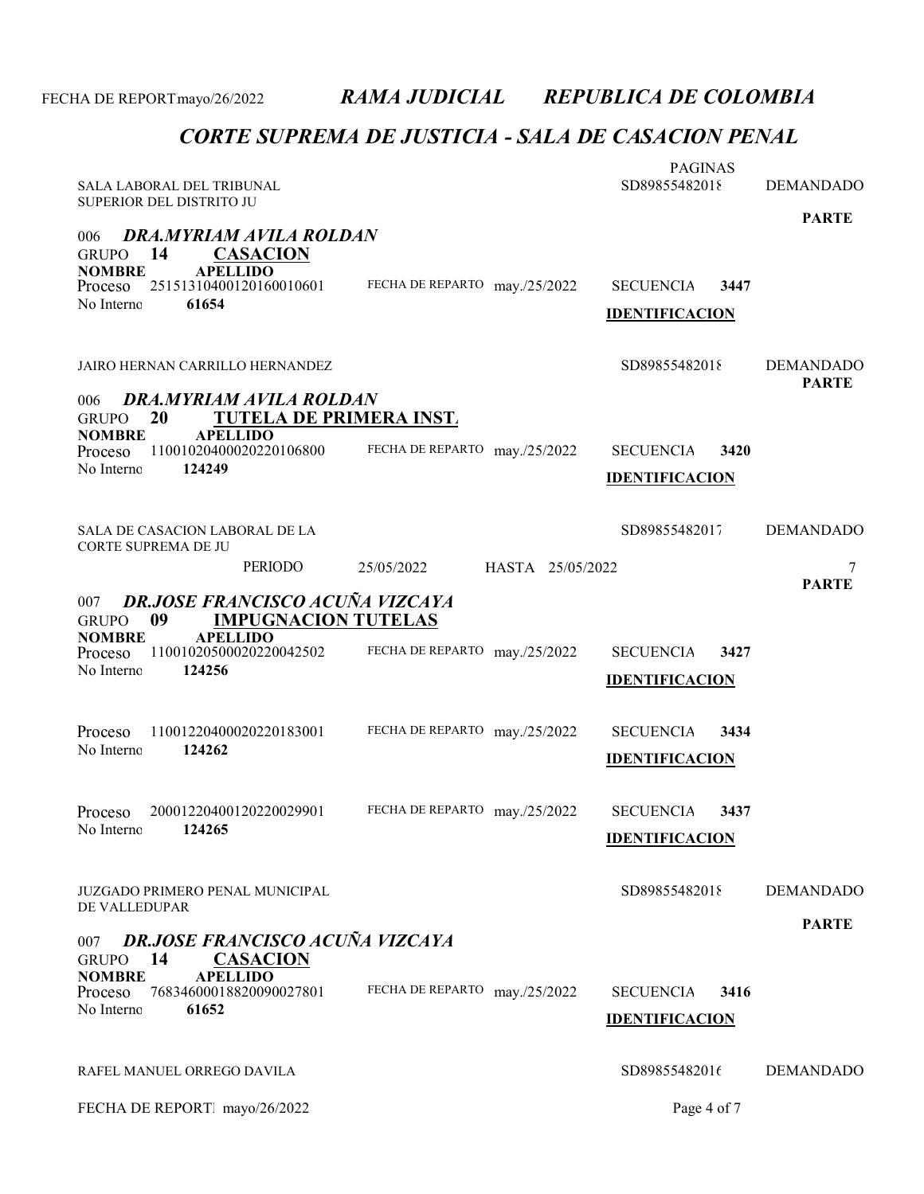# CORTE SUPREMA DE JUSTICIA - SALA DE CASACION PENAL

| SALA LABORAL DEL TRIBUNAL<br>SUPERIOR DEL DISTRITO JU                                                                                                                                    |                                | <b>PAGINAS</b><br>SD89855482018                   | <b>DEMANDADO</b>  |  |  |  |
|------------------------------------------------------------------------------------------------------------------------------------------------------------------------------------------|--------------------------------|---------------------------------------------------|-------------------|--|--|--|
| DRA.MYRIAM AVILA ROLDAN<br>006                                                                                                                                                           |                                |                                                   | <b>PARTE</b>      |  |  |  |
| 14<br><b>CASACION</b><br><b>GRUPO</b><br><b>NOMBRE</b><br><b>APELLIDO</b><br>25151310400120160010601<br>Proceso<br>61654<br>No Interno                                                   | FECHA DE REPARTO may./25/2022  | <b>SECUENCIA</b><br>3447<br><b>IDENTIFICACION</b> |                   |  |  |  |
| JAIRO HERNAN CARRILLO HERNANDEZ                                                                                                                                                          |                                | SD89855482018                                     | <b>DEMANDADO</b>  |  |  |  |
| DRA.MYRIAM AVILA ROLDAN<br>006<br><b>TUTELA DE PRIMERA INST.</b><br>20<br><b>GRUPO</b><br><b>APELLIDO</b><br><b>NOMBRE</b><br>11001020400020220106800<br>Proceso<br>124249<br>No Interno | FECHA DE REPARTO may./25/2022  | <b>SECUENCIA</b><br>3420<br><b>IDENTIFICACION</b> | <b>PARTE</b>      |  |  |  |
| SALA DE CASACION LABORAL DE LA<br>CORTE SUPREMA DE JU                                                                                                                                    |                                | SD89855482017                                     | <b>DEMANDADO</b>  |  |  |  |
| PERIODO                                                                                                                                                                                  | 25/05/2022<br>HASTA 25/05/2022 |                                                   | 7<br><b>PARTE</b> |  |  |  |
| <b>DR.JOSE FRANCISCO ACUÑA VIZCAYA</b><br>007<br><b>IMPUGNACION TUTELAS</b><br>09<br><b>GRUPO</b>                                                                                        |                                |                                                   |                   |  |  |  |
| <b>NOMBRE</b><br><b>APELLIDO</b><br>11001020500020220042502<br>Proceso<br>No Interno<br>124256                                                                                           | FECHA DE REPARTO may./25/2022  | <b>SECUENCIA</b><br>3427<br><b>IDENTIFICACION</b> |                   |  |  |  |
| 11001220400020220183001<br>Proceso<br>No Interno<br>124262                                                                                                                               | FECHA DE REPARTO may./25/2022  | <b>SECUENCIA</b><br>3434<br><b>IDENTIFICACION</b> |                   |  |  |  |
| 20001220400120220029901<br>Proceso<br>No Interno 124265                                                                                                                                  | FECHA DE REPARTO may./25/2022  | <b>SECUENCIA</b><br>3437<br><b>IDENTIFICACION</b> |                   |  |  |  |
| JUZGADO PRIMERO PENAL MUNICIPAL<br>DE VALLEDUPAR                                                                                                                                         |                                | SD89855482018                                     | <b>DEMANDADO</b>  |  |  |  |
| <b>PARTE</b><br><b>DR.JOSE FRANCISCO ACUÑA VIZCAYA</b><br>007                                                                                                                            |                                |                                                   |                   |  |  |  |
| 14<br><b>CASACION</b><br><b>GRUPO</b><br><b>NOMBRE</b><br><b>APELLIDO</b><br>76834600018820090027801<br>Proceso<br>No Interno<br>61652                                                   | FECHA DE REPARTO may./25/2022  | 3416<br><b>SECUENCIA</b><br><b>IDENTIFICACION</b> |                   |  |  |  |
| RAFEL MANUEL ORREGO DAVILA                                                                                                                                                               |                                | SD89855482016                                     | <b>DEMANDADO</b>  |  |  |  |
| FECHA DE REPORT mayo/26/2022                                                                                                                                                             |                                | Page 4 of 7                                       |                   |  |  |  |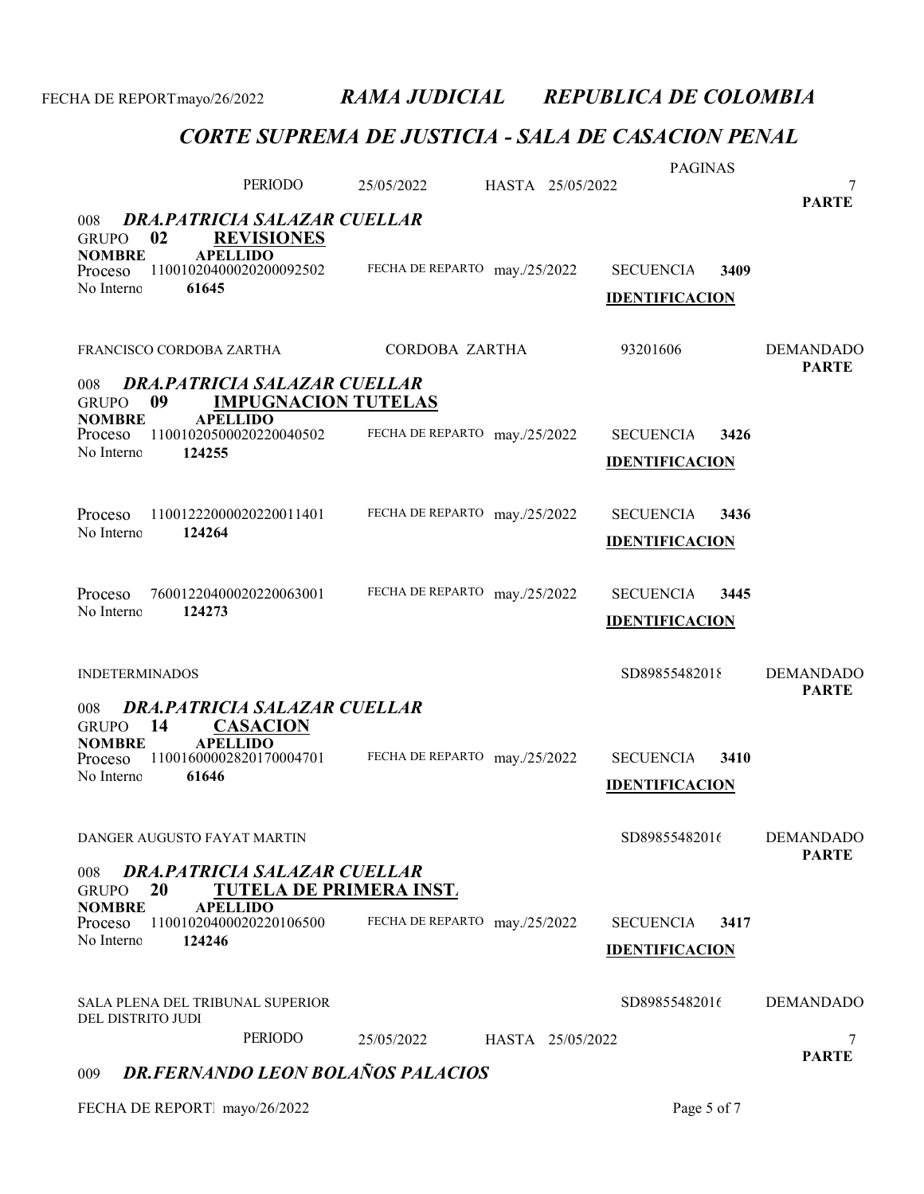# CORTE SUPREMA DE JUSTICIA - SALA DE CASACION PENAL

|                                                                  |                            |                               |                  | <b>PAGINAS</b>                            |      |                                  |
|------------------------------------------------------------------|----------------------------|-------------------------------|------------------|-------------------------------------------|------|----------------------------------|
|                                                                  | PERIODO                    | 25/05/2022                    | HASTA 25/05/2022 |                                           |      | 7<br><b>PARTE</b>                |
| DRA.PATRICIA SALAZAR CUELLAR<br>008<br>02<br><b>GRUPO</b>        | <b>REVISIONES</b>          |                               |                  |                                           |      |                                  |
| <b>NOMBRE</b><br><b>APELLIDO</b><br>Proceso                      | 11001020400020200092502    | FECHA DE REPARTO may./25/2022 |                  | <b>SECUENCIA</b>                          | 3409 |                                  |
| 61645<br>No Interno                                              |                            |                               |                  | <b>IDENTIFICACION</b>                     |      |                                  |
| FRANCISCO CORDOBA ZARTHA                                         |                            | CORDOBA ZARTHA                |                  | 93201606                                  |      | <b>DEMANDADO</b><br><b>PARTE</b> |
| DRA.PATRICIA SALAZAR CUELLAR<br>008<br>09<br><b>GRUPO</b>        | <b>IMPUGNACION TUTELAS</b> |                               |                  |                                           |      |                                  |
| <b>NOMBRE</b><br><b>APELLIDO</b><br>Proceso                      | 11001020500020220040502    | FECHA DE REPARTO may./25/2022 |                  | <b>SECUENCIA</b>                          | 3426 |                                  |
| No Interno<br>124255                                             |                            |                               |                  | <b>IDENTIFICACION</b>                     |      |                                  |
| Proceso                                                          | 11001222000020220011401    | FECHA DE REPARTO may./25/2022 |                  | <b>SECUENCIA</b>                          | 3436 |                                  |
| No Interno<br>124264                                             |                            |                               |                  | <b>IDENTIFICACION</b>                     |      |                                  |
| Proceso                                                          | 76001220400020220063001    | FECHA DE REPARTO may./25/2022 |                  | <b>SECUENCIA</b>                          | 3445 |                                  |
| No Interno<br>124273                                             |                            |                               |                  | <b>IDENTIFICACION</b>                     |      |                                  |
| <b>INDETERMINADOS</b>                                            |                            |                               |                  | SD89855482018                             |      | <b>DEMANDADO</b>                 |
| DRA.PATRICIA SALAZAR CUELLAR<br>008                              |                            |                               |                  |                                           |      | <b>PARTE</b>                     |
| 14<br><b>GRUPO</b><br><b>APELLIDO</b><br><b>NOMBRE</b>           | <b>CASACION</b>            |                               |                  |                                           |      |                                  |
| Proceso<br>No Interno<br>61646                                   | 11001600002820170004701    | FECHA DE REPARTO may./25/2022 |                  | <b>SECUENCIA</b><br><b>IDENTIFICACION</b> | 3410 |                                  |
|                                                                  |                            |                               |                  |                                           |      |                                  |
| DANGER AUGUSTO FAYAT MARTIN                                      |                            |                               |                  | SD89855482016                             |      | <b>DEMANDADO</b><br><b>PARTE</b> |
| <b>DRA.PATRICIA SALAZAR CUELLAR</b><br>008<br>20<br><b>GRUPO</b> | TUTELA DE PRIMERA INST.    |                               |                  |                                           |      |                                  |
| <b>NOMBRE</b><br><b>APELLIDO</b><br>Proceso                      | 11001020400020220106500    | FECHA DE REPARTO              | may./25/2022     | <b>SECUENCIA</b>                          | 3417 |                                  |
| No Interno<br>124246                                             |                            |                               |                  | <b>IDENTIFICACION</b>                     |      |                                  |
| SALA PLENA DEL TRIBUNAL SUPERIOR<br>DEL DISTRITO JUDI            |                            |                               |                  | SD89855482016                             |      | <b>DEMANDADO</b>                 |
|                                                                  | PERIODO                    | 25/05/2022                    | HASTA 25/05/2022 |                                           |      | 7<br><b>PARTE</b>                |

# 009 DR.FERNANDO LEON BOLAÑOS PALACIOS

FECHA DE REPORT. mayo/26/2022 Page 5 of 7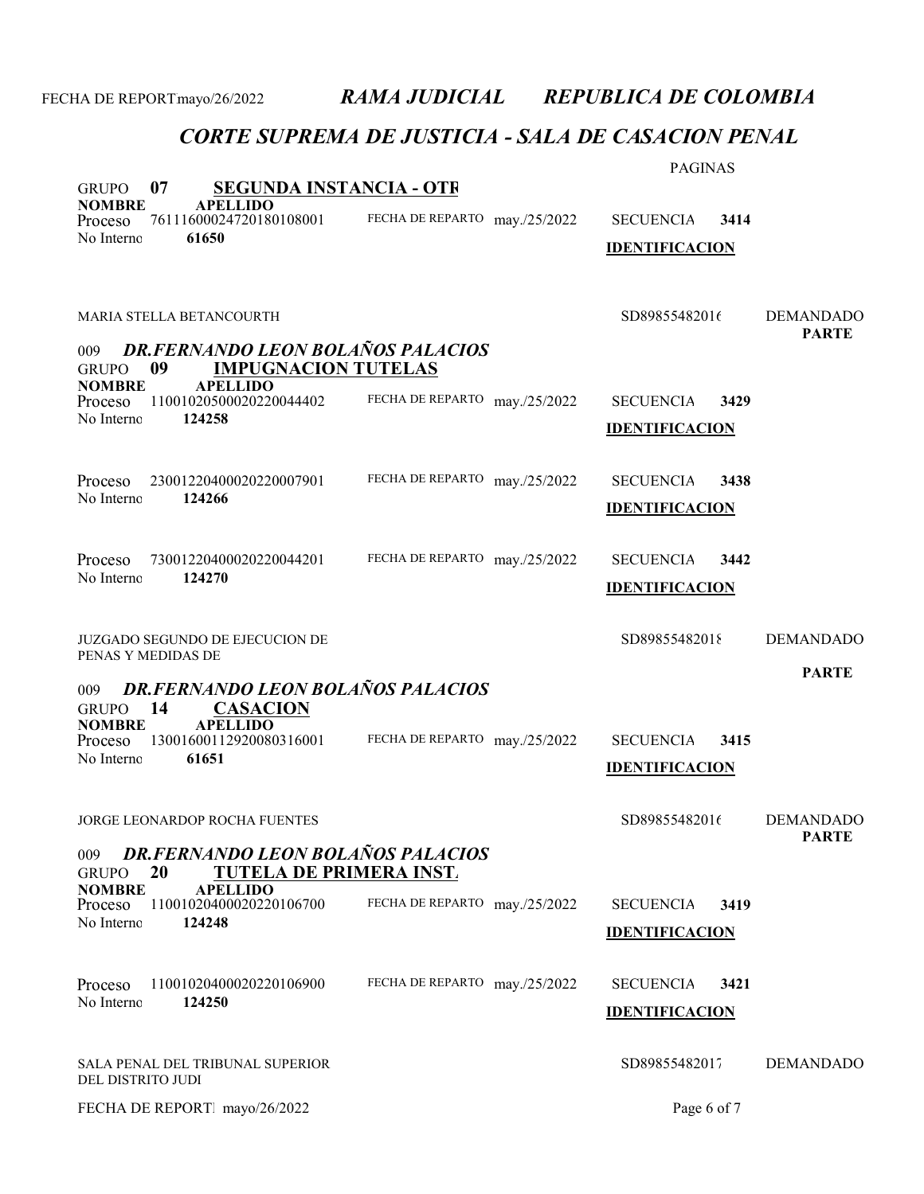### CORTE SUPREMA DE JUSTICIA - SALA DE CASACION PENAL

| 07                                                                                                                                                 |                               | <b>PAGINAS</b>                                    |                                  |
|----------------------------------------------------------------------------------------------------------------------------------------------------|-------------------------------|---------------------------------------------------|----------------------------------|
| <b>SEGUNDA INSTANCIA - OTR</b><br><b>GRUPO</b><br><b>APELLIDO</b><br><b>NOMBRE</b><br>76111600024720180108001<br>Proceso<br>No Interno<br>61650    | FECHA DE REPARTO may./25/2022 | <b>SECUENCIA</b><br>3414<br><b>IDENTIFICACION</b> |                                  |
| MARIA STELLA BETANCOURTH<br><b>DR.FERNANDO LEON BOLAÑOS PALACIOS</b><br>009                                                                        |                               | SD89855482016                                     | <b>DEMANDADO</b><br><b>PARTE</b> |
| <b>IMPUGNACION TUTELAS</b><br>09<br><b>GRUPO</b><br><b>NOMBRE</b><br><b>APELLIDO</b><br>11001020500020220044402<br>Proceso<br>No Interno<br>124258 | FECHA DE REPARTO may./25/2022 | <b>SECUENCIA</b><br>3429<br><b>IDENTIFICACION</b> |                                  |
| Proceso<br>23001220400020220007901<br>124266<br>No Interno                                                                                         | FECHA DE REPARTO may./25/2022 | <b>SECUENCIA</b><br>3438<br><b>IDENTIFICACION</b> |                                  |
| 73001220400020220044201<br>Proceso<br>No Interno<br>124270                                                                                         | FECHA DE REPARTO may./25/2022 | <b>SECUENCIA</b><br>3442<br><b>IDENTIFICACION</b> |                                  |
| <b>JUZGADO SEGUNDO DE EJECUCION DE</b><br>PENAS Y MEDIDAS DE                                                                                       |                               | SD89855482018                                     | <b>DEMANDADO</b>                 |
| <b>DR.FERNANDO LEON BOLAÑOS PALACIOS</b><br>009<br>14<br><b>CASACION</b><br><b>GRUPO</b>                                                           |                               |                                                   | <b>PARTE</b>                     |
| <b>APELLIDO</b><br><b>NOMBRE</b><br>13001600112920080316001<br>Proceso<br>No Interno<br>61651                                                      | FECHA DE REPARTO may./25/2022 | <b>SECUENCIA</b><br>3415<br><b>IDENTIFICACION</b> |                                  |
| <b>JORGE LEONARDOP ROCHA FUENTES</b>                                                                                                               |                               | SD89855482016                                     | <b>DEMANDADO</b><br><b>PARTE</b> |
| DR.FERNANDO LEON BOLAÑOS PALACIOS<br>009<br><b>TUTELA DE PRIMERA INST.</b><br>20<br><b>GRUPO</b>                                                   |                               |                                                   |                                  |
| <b>NOMBRE</b><br><b>APELLIDO</b><br>11001020400020220106700<br>Proceso<br>No Interno<br>124248                                                     | FECHA DE REPARTO may./25/2022 | <b>SECUENCIA</b><br>3419<br><b>IDENTIFICACION</b> |                                  |
| 11001020400020220106900<br>Proceso<br>124250<br>No Interno                                                                                         | FECHA DE REPARTO may./25/2022 | 3421<br><b>SECUENCIA</b><br><b>IDENTIFICACION</b> |                                  |
| SALA PENAL DEL TRIBUNAL SUPERIOR<br>DEL DISTRITO JUDI                                                                                              |                               | SD89855482017                                     | <b>DEMANDADO</b>                 |
| FECHA DE REPORT mayo/26/2022                                                                                                                       |                               | Page 6 of 7                                       |                                  |